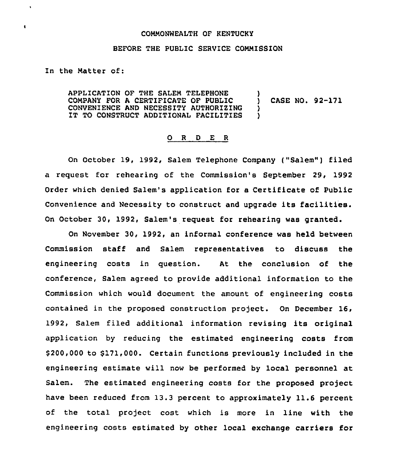## COMMONWEALTH OF RENTUCKY

## BEFORE THE PUBLIC SERVICE COMMISSION

In the Matter of:

 $\pmb{\ast}$ 

 $\bullet$ 

APPLICATION OF THE SALEM TELEPHONE )<br>COMPANY FOR A CERTIFICATE OF PUBLIC ) COMPANY FOR A CERTIFICATE OF PUBLIC  $\qquad$  ) CASE NO. 92-171<br>CONVENIENCE AND NECESSITY AUTHORIZING ) CONVENIENCE AND NECESSITY AUTHORIZING )<br>IT TO CONSTRUCT ADDITIONAL FACILITIES ) IT TO CONSTRUCT ADDITIONAL FACILITIES

## 0 <sup>R</sup> <sup>D</sup> E <sup>R</sup>

On October 19, 1992, Salem Telephone Company ("Salem") filed a request for rehearing of the Commission's September 29, 1992 Order which denied Salem's application for a Certificate of Public convenience and Necessity to construct and upgrade its facilities. On October 30, 1992, Salem's request for rehearing was granted.

On November 30, 1992, an informal conference was held between Commission staff and Salem representatives to discuss the engineering costs in question. At the conclusion of the conference, Salem agreed to provide additional information to the Commission which would document the amount of engineering costs contained in the proposed construction project. On December 16, 1992, Salem filed additional information revising its original application by reducing the estimated engineering costs from \$ 200,000 to \$171,000. Certain functions previously included in the engineering estimate will now be performed by local personnel at Salem. The estimated engineering costs for the proposed project have been reduced from 13.3 percent to approximately 11.6 percent of the total project cost which is more in line with the engineering costs estimated by other local exchange carriers for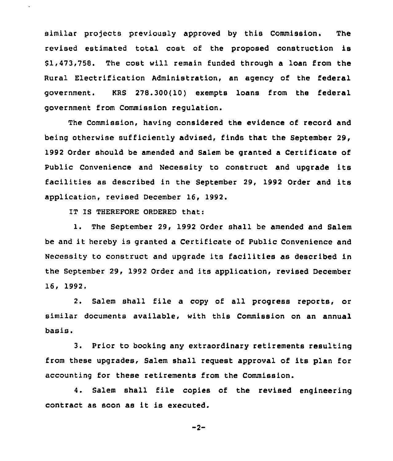similar projects previously approved by this Commission. The revised estimated total cost of the proposed construction is \$ 1,473,758. The cost will remain funded through a loan from the Rural Electrification Administration, an agency of the federal government. KRS 278.300(10) exempts loans from the federal government from Commission regulation.

The Commission, having considered the evidence of record and being otherwise sufficiently advised, finds that the September 29, 1992 Order should be amended and Salem be granted a Certificate of Public Convenience and Necessity to construct and upgrade its facilities as described in the September 29, 1992 Order and its application, revised December 16, 1992.

IT IS THEREFORE ORDERED that:

1. The September 29, 1992 Order shall be amended and Salem be and it hereby is granted <sup>a</sup> Certificate of Public Convenience and Necessity to construct and upgrade its facilities as described in the September 29, 1992 Order and its application, revised December 16, 1992.

2. Salem shall file a copy of all progress reports, or similar documents available, with this Commission on an annual basis.

3. Prior to booking any extraordinary retirements resulting from these upgrades, Salem shall reguest approval of its plan for accounting for these retirements from the Commission.

4. Salem shall file copies of the revised engineering contract as soon as it is executed.

 $-2-$